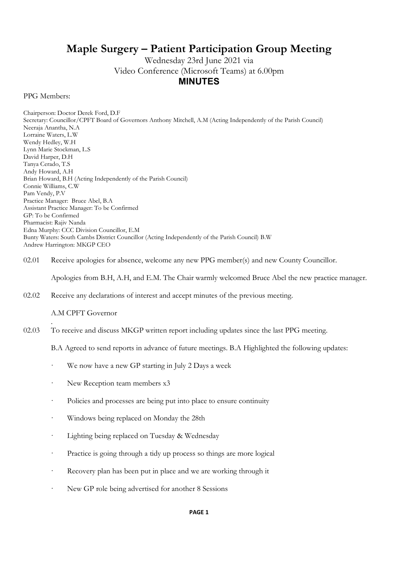## Maple Surgery – Patient Participation Group Meeting

Wednesday 23rd June 2021 via Video Conference (Microsoft Teams) at 6.00pm MINUTES

PPG Members:

Chairperson: Doctor Derek Ford, D.F Secretary: Councillor/CPFT Board of Governors Anthony Mitchell, A.M (Acting Independently of the Parish Council) Neeraja Anantha, N.A Lorraine Waters, L.W Wendy Hedley, W.H Lynn Marie Stockman, L.S David Harper, D.H Tanya Cerado, T.S Andy Howard, A.H Brian Howard, B.H (Acting Independently of the Parish Council) Connie Williams, C.W Pam Vendy, P.V Practice Manager: Bruce Abel, B.A Assistant Practice Manager: To be Confirmed GP: To be Confirmed Pharmacist: Rajiv Nanda Edna Murphy: CCC Division Councillor, E.M Bunty Waters: South Cambs District Councillor (Acting Independently of the Parish Council) B.W Andrew Harrington: MKGP CEO

02.01 Receive apologies for absence, welcome any new PPG member(s) and new County Councillor.

Apologies from B.H, A.H, and E.M. The Chair warmly welcomed Bruce Abel the new practice manager.

02.02 Receive any declarations of interest and accept minutes of the previous meeting.

## A.M CPFT Governor

.

02.03 To receive and discuss MKGP written report including updates since the last PPG meeting.

B.A Agreed to send reports in advance of future meetings. B.A Highlighted the following updates:

- We now have a new GP starting in July 2 Days a week
- New Reception team members x3
- Policies and processes are being put into place to ensure continuity
- Windows being replaced on Monday the 28th
- Lighting being replaced on Tuesday & Wednesday
- Practice is going through a tidy up process so things are more logical
- · Recovery plan has been put in place and we are working through it
- New GP role being advertised for another 8 Sessions